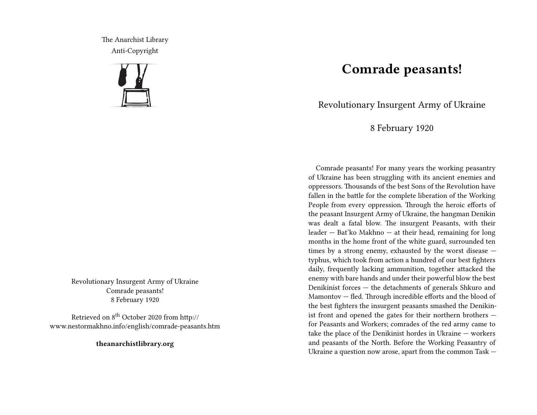The Anarchist Library Anti-Copyright



Revolutionary Insurgent Army of Ukraine Comrade peasants! 8 February 1920

Retrieved on 8<sup>th</sup> October 2020 from http:// www.nestormakhno.info/english/comrade-peasants.htm

**theanarchistlibrary.org**

## **Comrade peasants!**

Revolutionary Insurgent Army of Ukraine

8 February 1920

Comrade peasants! For many years the working peasantry of Ukraine has been struggling with its ancient enemies and oppressors. Thousands of the best Sons of the Revolution have fallen in the battle for the complete liberation of the Working People from every oppression. Through the heroic efforts of the peasant Insurgent Army of Ukraine, the hangman Denikin was dealt a fatal blow. The insurgent Peasants, with their leader — Bat'ko Makhno — at their head, remaining for long months in the home front of the white guard, surrounded ten times by a strong enemy, exhausted by the worst disease typhus, which took from action a hundred of our best fighters daily, frequently lacking ammunition, together attacked the enemy with bare hands and under their powerful blow the best Denikinist forces — the detachments of generals Shkuro and Mamontov — fled. Through incredible efforts and the blood of the best fighters the insurgent peasants smashed the Denikinist front and opened the gates for their northern brothers for Peasants and Workers; comrades of the red army came to take the place of the Denikinist hordes in Ukraine — workers and peasants of the North. Before the Working Peasantry of Ukraine a question now arose, apart from the common Task —